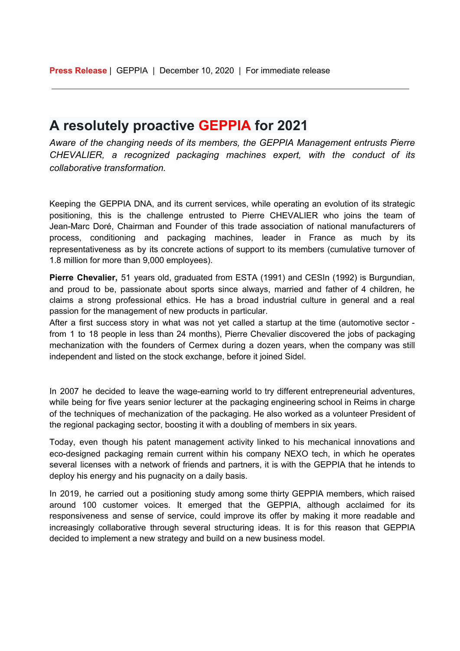## A resolutely proactive GEPPIA for 2021

Aware of the changing needs of its members, the GEPPIA Management entrusts Pierre CHEVALIER, a recognized packaging machines expert, with the conduct of its collaborative transformation.

Keeping the GEPPIA DNA, and its current services, while operating an evolution of its strategic positioning, this is the challenge entrusted to Pierre CHEVALIER who joins the team of Jean-Marc Doré, Chairman and Founder of this trade association of national manufacturers of process, conditioning and packaging machines, leader in France as much by its representativeness as by its concrete actions of support to its members (cumulative turnover of 1.8 million for more than 9,000 employees).

Pierre Chevalier, 51 years old, graduated from ESTA (1991) and CESIn (1992) is Burgundian, and proud to be, passionate about sports since always, married and father of 4 children, he claims a strong professional ethics. He has a broad industrial culture in general and a real passion for the management of new products in particular.

After a first success story in what was not yet called a startup at the time (automotive sector from 1 to 18 people in less than 24 months), Pierre Chevalier discovered the jobs of packaging mechanization with the founders of Cermex during a dozen years, when the company was still independent and listed on the stock exchange, before it joined Sidel.

In 2007 he decided to leave the wage-earning world to try different entrepreneurial adventures, while being for five years senior lecturer at the packaging engineering school in Reims in charge of the techniques of mechanization of the packaging. He also worked as a volunteer President of the regional packaging sector, boosting it with a doubling of members in six years.

Today, even though his patent management activity linked to his mechanical innovations and eco-designed packaging remain current within his company NEXO tech, in which he operates several licenses with a network of friends and partners, it is with the GEPPIA that he intends to deploy his energy and his pugnacity on a daily basis.

In 2019, he carried out a positioning study among some thirty GEPPIA members, which raised around 100 customer voices. It emerged that the GEPPIA, although acclaimed for its responsiveness and sense of service, could improve its offer by making it more readable and increasingly collaborative through several structuring ideas. It is for this reason that GEPPIA decided to implement a new strategy and build on a new business model.